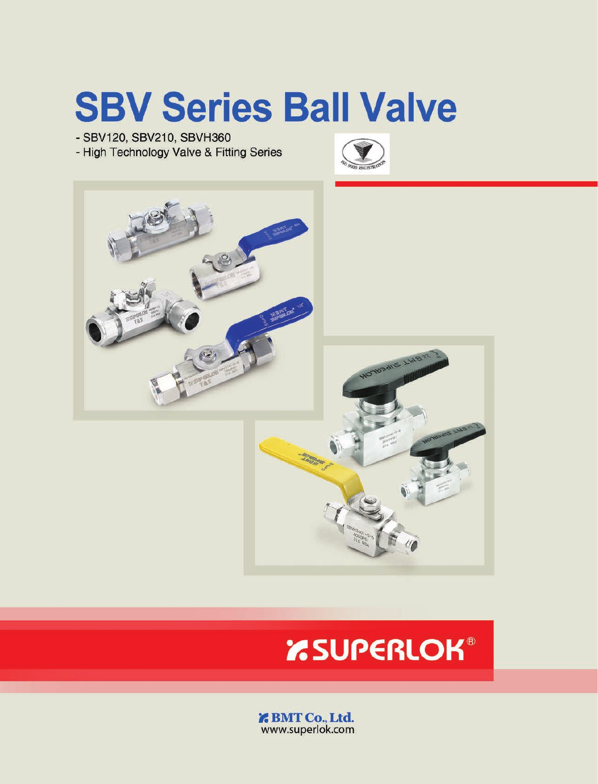# **SBV Series Ball Valve**

- SBV120, SBV210, SBVH360

- High Technology Valve & Fitting Series





# **EXAMPERLOK®**

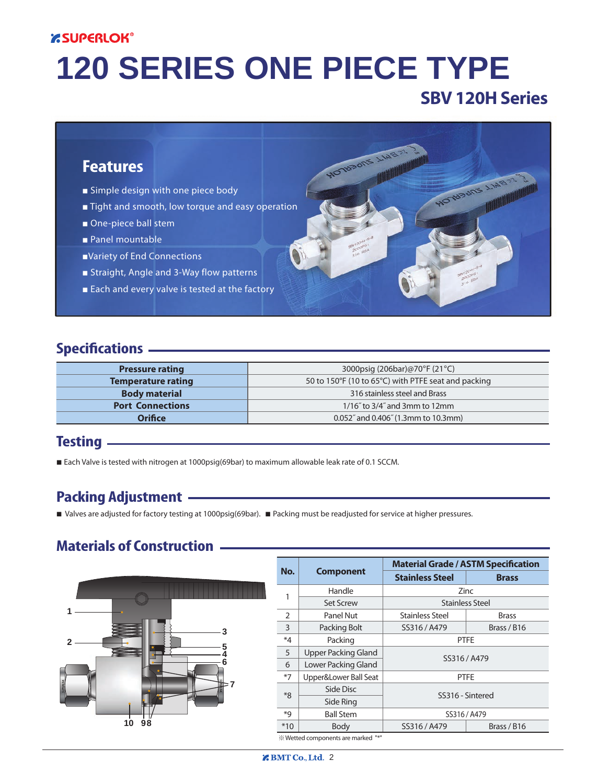#### **ESUPERLOK®**

# **120 SERIES ONE PIECE TYPE**

**PACTABODE LINE** 

# **SBV 120H Series**

MOTUBONS LIN



- Simple design with one piece body
- Tight and smooth, low torque and easy operation
- One-piece ball stem
- *■* Panel mountable
- *■*Variety of End Connections
- Straight, Angle and 3-Way flow patterns
- Each and every valve is tested at the factory

#### **Specifications**

| <b>Pressure rating</b>    | 3000psig (206bar)@70°F (21°C)                       |  |  |  |
|---------------------------|-----------------------------------------------------|--|--|--|
| <b>Temperature rating</b> | 50 to 150°F (10 to 65°C) with PTFE seat and packing |  |  |  |
| <b>Body material</b>      | 316 stainless steel and Brass                       |  |  |  |
| <b>Port Connections</b>   | $1/16$ " to $3/4$ " and 3mm to 12mm                 |  |  |  |
| <b>Orifice</b>            | 0.052" and 0.406" (1.3mm to 10.3mm)                 |  |  |  |

#### **Testing**

■ Each Valve is tested with nitrogen at 1000psig(69bar) to maximum allowable leak rate of 0.1 SCCM.

#### **Packing Adjustment**

*■* Valves are adjusted for factory testing at 1000psig(69bar). *■* Packing must be readjusted for service at higher pressures.

#### **Materials of Construction**



|                |                       | <b>Material Grade / ASTM Specification</b> |                        |  |  |  |  |
|----------------|-----------------------|--------------------------------------------|------------------------|--|--|--|--|
| No.            | <b>Component</b>      | <b>Stainless Steel</b>                     |                        |  |  |  |  |
|                | Handle                | Zinc                                       |                        |  |  |  |  |
| 1              | <b>Set Screw</b>      |                                            | <b>Stainless Steel</b> |  |  |  |  |
| $\overline{2}$ | Panel Nut             | <b>Stainless Steel</b>                     | <b>Brass</b>           |  |  |  |  |
| 3              | Packing Bolt          | SS316 / A479                               | Brass / B16            |  |  |  |  |
| *4             | Packing               | <b>PTFE</b>                                |                        |  |  |  |  |
| 5              | Upper Packing Gland   |                                            |                        |  |  |  |  |
| 6              | Lower Packing Gland   |                                            | SS316 / A479           |  |  |  |  |
| $*7$           | Upper&Lower Ball Seat |                                            | <b>PTFE</b>            |  |  |  |  |
| $*8$           | Side Disc             |                                            | SS316 - Sintered       |  |  |  |  |
|                | Side Ring             |                                            |                        |  |  |  |  |
| *9             | <b>Ball Stem</b>      |                                            | SS316 / A479           |  |  |  |  |
| $*10$          | <b>Body</b>           | SS316 / A479<br>Brass / B16                |                        |  |  |  |  |

 $%$  Wetted components are marked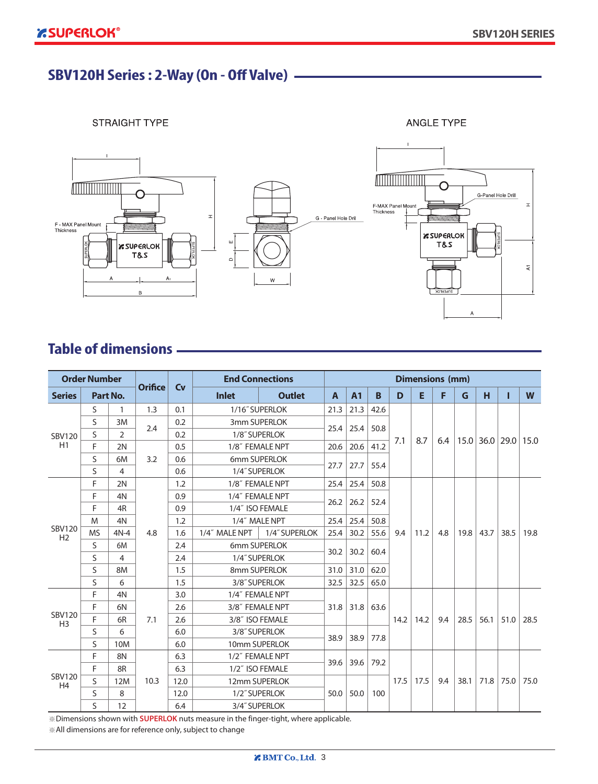# **120 SERIES : 2-Way (On - Off Valve)**

**STRAIGHT TYPE** 

**ANGLE TYPE** 



# **Table of dimensions**

|                                 | <b>Order Number</b> |                |                |      | <b>End Connections</b> |                 |                |                |      |      | <b>Dimensions (mm)</b> |     |      |      |                  |      |
|---------------------------------|---------------------|----------------|----------------|------|------------------------|-----------------|----------------|----------------|------|------|------------------------|-----|------|------|------------------|------|
| <b>Series</b>                   |                     | Part No.       | <b>Orifice</b> | Cv   | <b>Inlet</b>           | <b>Outlet</b>   | $\overline{A}$ | A <sub>1</sub> | B    | D    | E                      | F   | G    | н    |                  | W    |
|                                 | S                   | $\mathbf{1}$   | 1.3            | 0.1  | 1/16" SUPERLOK         |                 | 21.3           | 21.3           | 42.6 |      |                        |     |      |      |                  |      |
|                                 | S<br>3M             |                | 2.4            | 0.2  |                        | 3mm SUPERLOK    | 25.4           |                | 50.8 |      |                        |     |      |      |                  |      |
| <b>SBV120</b>                   | S                   | 2              |                | 0.2  |                        | 1/8" SUPERLOK   |                | 25.4           |      | 7.1  | 8.7                    |     |      |      | $15.0$ 36.0 29.0 | 15.0 |
| H1                              | F                   | 2N             |                | 0.5  |                        | 1/8" FEMALE NPT | 20.6           | 20.6           | 41.2 |      |                        | 6.4 |      |      |                  |      |
|                                 | S                   | 6M             | 3.2            | 0.6  | 6mm SUPERLOK           |                 | 27.7           | 27.7           | 55.4 |      |                        |     |      |      |                  |      |
| S                               |                     | $\overline{4}$ |                | 0.6  | 1/4" SUPERLOK          |                 |                |                |      |      |                        |     |      |      |                  |      |
|                                 | F                   | 2N             |                | 1.2  |                        | 1/8" FEMALE NPT | 25.4           | 25.4           | 50.8 |      |                        |     |      |      |                  |      |
|                                 | F<br>4N             |                |                | 0.9  | 1/4" FEMALE NPT        |                 | 26.2           | 26.2           | 52.4 |      |                        |     |      |      |                  |      |
| F                               |                     | 4R             |                | 0.9  |                        | 1/4" ISO FEMALE |                |                |      |      |                        |     |      |      |                  |      |
|                                 | M                   | 4N             |                | 1.2  | 1/4" MALE NPT          |                 | 25.4           | 25.4           | 50.8 |      |                        |     |      | 43.7 | 38.5             | 19.8 |
| <b>SBV120</b><br>H <sub>2</sub> | <b>MS</b>           | $4N-4$         | 4.8            | 1.6  | 1/4" MALE NPT          | 1/4" SUPERLOK   | 25.4           | 30.2           | 55.6 | 9.4  | 11.2                   | 4.8 | 19.8 |      |                  |      |
|                                 | $\mathsf{S}$        | 6M             |                | 2.4  | 6mm SUPERLOK           |                 | 30.2           | 30.2           | 60.4 |      |                        |     |      |      |                  |      |
|                                 | S                   | 4              |                | 2.4  | 1/4" SUPERLOK          |                 |                |                |      |      |                        |     |      |      |                  |      |
|                                 | S                   | 8M             |                | 1.5  | 8mm SUPERLOK           |                 | 31.0           | 31.0           | 62.0 |      |                        |     |      |      |                  |      |
|                                 | S                   | 6              |                | 1.5  |                        | 3/8" SUPERLOK   | 32.5           | 32.5           | 65.0 |      |                        |     |      |      |                  |      |
|                                 | F                   | 4N             |                | 3.0  |                        | 1/4" FEMALE NPT |                |                |      |      |                        |     |      |      |                  |      |
|                                 | F                   | 6N             |                | 2.6  | 3/8" FEMALE NPT        |                 | 31.8           | 31.8           | 63.6 |      |                        |     |      |      |                  |      |
| <b>SBV120</b><br>H <sub>3</sub> | F                   | 6R             | 7.1            | 2.6  | 3/8" ISO FEMALE        |                 |                |                |      | 14.2 | 14.2                   | 9.4 | 28.5 | 56.1 | 51.0             | 28.5 |
|                                 | S                   | 6              |                | 6.0  |                        | 3/8" SUPERLOK   | 38.9           | 38.9           | 77.8 |      |                        |     |      |      |                  |      |
|                                 | S                   | 10M            |                | 6.0  |                        | 10mm SUPERLOK   |                |                |      |      |                        |     |      |      |                  |      |
|                                 | F                   | 8N             |                | 6.3  |                        | 1/2" FEMALE NPT | 39.6           | 39.6           | 79.2 |      |                        |     |      |      |                  |      |
|                                 | F                   | 8R             |                | 6.3  | 1/2" ISO FEMALE        |                 |                |                |      | 17.5 | 17.5                   | 9.4 |      |      | 75.0             | 75.0 |
| <b>SBV120</b><br>H4             | S                   | 12M            | 10.3           | 12.0 |                        | 12mm SUPERLOK   |                |                |      |      |                        |     | 38.1 | 71.8 |                  |      |
|                                 | S                   | 8              |                | 12.0 |                        | 1/2" SUPERLOK   | 50.0           | 50.0           | 100  |      |                        |     |      |      |                  |      |
|                                 | S                   | 12             |                | 6.4  |                        | 3/4" SUPERLOK   |                |                |      |      |                        |     |      |      |                  |      |

※Dimensions shown with **SUPERLOK** nuts measure in the finger-tight, where applicable.

※All dimensions are for reference only, subject to change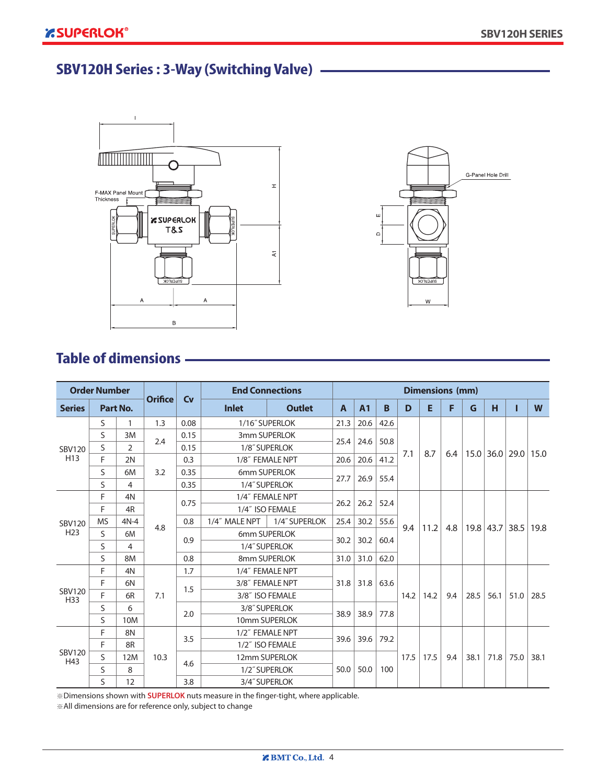# **SBV120H Series : 3-Way (Switching Valve)**





# **Table of dimensions**

| <b>Order Number</b>                                          |    |                |                |           | <b>End Connections</b>  |                 |                |              |      | <b>Dimensions (mm)</b> |      |     |      |                      |      |      |
|--------------------------------------------------------------|----|----------------|----------------|-----------|-------------------------|-----------------|----------------|--------------|------|------------------------|------|-----|------|----------------------|------|------|
| <b>Series</b>                                                |    | Part No.       | <b>Orifice</b> | <b>Cv</b> | <b>Inlet</b>            | <b>Outlet</b>   | $\overline{A}$ | <b>A1</b>    | B    | D                      | E    | F   | G    | н                    |      | W    |
|                                                              | S  | 1              | 0.08<br>1.3    |           |                         | 1/16" SUPERLOK  | 21.3           | 20.6         | 42.6 |                        |      |     |      |                      |      |      |
|                                                              | S  | 3M             | 2.4            | 0.15      |                         | 3mm SUPERLOK    |                | 24.6         | 50.8 |                        |      |     |      |                      |      |      |
| <b>SBV120</b>                                                | S  | $\overline{2}$ |                | 0.15      |                         | 1/8" SUPERLOK   | 25.4           |              |      | 7.1                    | 8.7  | 6.4 |      | $15.0$   36.0   29.0 |      | 15.0 |
| H <sub>13</sub>                                              | F  | 2N             |                | 0.3       | 1/8" FEMALE NPT         |                 | 20.6           | 20.6         | 41.2 |                        |      |     |      |                      |      |      |
|                                                              | S  | 6M             | 3.2            | 0.35      | 6mm SUPERLOK            |                 | 27.7<br>26.9   | 55.4         |      |                        |      |     |      |                      |      |      |
|                                                              | S  | 4              |                | 0.35      |                         | 1/4" SUPERLOK   |                |              |      |                        |      |     |      |                      |      |      |
| F<br>F<br><b>MS</b><br><b>SBV120</b><br>H <sub>23</sub><br>S | 4N |                | 0.75           |           | 1/4" FEMALE NPT<br>26.2 |                 | 26.2           | 52.4         |      |                        |      |     |      |                      |      |      |
|                                                              |    | 4R             |                |           |                         | 1/4" ISO FEMALE |                |              |      |                        | 11.2 | 4.8 |      | 19.8 43.7 38.5       |      | 19.8 |
|                                                              |    | $4N-4$         | 4.8            | 0.8       | 1/4" MALE NPT           | 1/4" SUPERLOK   | 25.4           | 30.2         | 55.6 | 9.4                    |      |     |      |                      |      |      |
|                                                              |    | 6M             |                | 0.9       |                         | 6mm SUPERLOK    | 30.2           | 30.2         | 60.4 |                        |      |     |      |                      |      |      |
|                                                              | S  | 4              |                |           | 1/4" SUPERLOK           |                 |                |              |      |                        |      |     |      |                      |      |      |
|                                                              | S  | 8M             |                | 0.8       | 8mm SUPERLOK            |                 | 31.0           | 31.0         | 62.0 |                        |      |     |      |                      |      |      |
|                                                              | F  | 4N             |                | 1.7       |                         | 1/4" FEMALE NPT |                | 31.8<br>31.8 | 63.6 |                        |      |     |      |                      |      |      |
|                                                              | F  | 6N             |                | 1.5       |                         | 3/8" FEMALE NPT |                |              |      |                        |      |     |      |                      |      |      |
| <b>SBV120</b><br>H33                                         | F  | 6R             | 7.1            |           |                         | 3/8" ISO FEMALE |                |              |      | 14.2                   | 14.2 | 9.4 | 28.5 | 56.1                 | 51.0 | 28.5 |
|                                                              | S  | 6              |                | 2.0       |                         | 3/8" SUPERLOK   | 38.9           | 38.9         | 77.8 |                        |      |     |      |                      |      |      |
|                                                              | S  | 10M            |                |           |                         | 10mm SUPERLOK   |                |              |      |                        |      |     |      |                      |      |      |
|                                                              | F  | 8N             |                | 3.5       | 1/2" FEMALE NPT         |                 | 39.6           | 39.6         | 79.2 |                        |      |     |      |                      |      |      |
|                                                              | F  | 8R             |                |           |                         | 1/2" ISO FEMALE |                |              |      |                        |      |     |      |                      |      |      |
| <b>SBV120</b><br>H43                                         | S  | 12M            | 10.3           | 4.6       |                         | 12mm SUPERLOK   |                |              |      | 17.5                   | 17.5 | 9.4 | 38.1 | 71.8                 | 75.0 | 38.1 |
|                                                              | S  | 8              |                |           |                         | 1/2" SUPERLOK   | 50.0           | 50.0         | 100  |                        |      |     |      |                      |      |      |
|                                                              | S  | 12             |                | 3.8       |                         | 3/4" SUPERLOK   |                |              |      |                        |      |     |      |                      |      |      |

※Dimensions shown with **SUPERLOK** nuts measure in the finger-tight, where applicable.

※All dimensions are for reference only, subject to change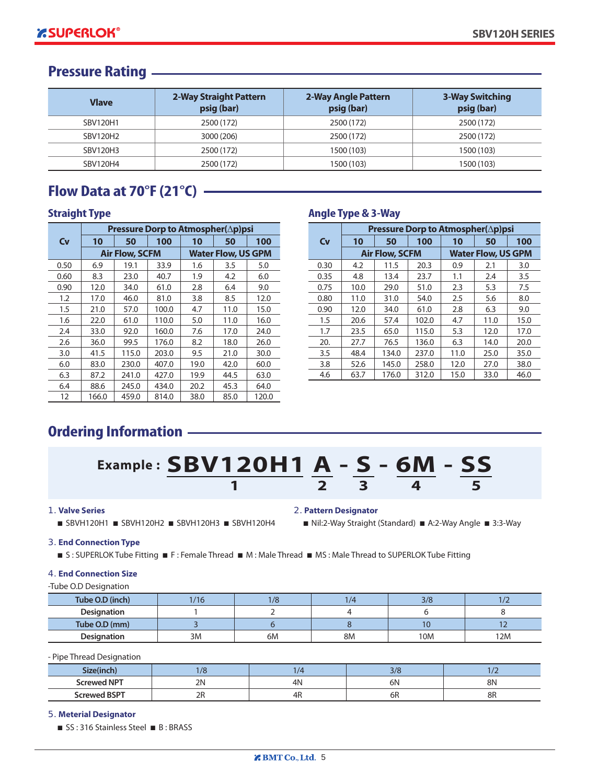#### **Pressure Rating**

| <b>Vlave</b>    | 2-Way Straight Pattern<br>psig (bar) | 2-Way Angle Pattern<br>psig (bar) | <b>3-Way Switching</b><br>psig (bar) |
|-----------------|--------------------------------------|-----------------------------------|--------------------------------------|
| SBV120H1        | 2500 (172)                           | 2500 (172)                        | 2500 (172)                           |
| SBV120H2        | 3000 (206)                           | 2500 (172)                        | 2500 (172)                           |
| <b>SBV120H3</b> | 2500 (172)                           | 1500 (103)                        | 1500 (103)                           |
| SBV120H4        | 2500 (172)                           | 1500 (103)                        | 1500 (103)                           |

### **Flow Data at 70°F (21°C)**

|      | Pressure Dorp to Atmospher(∆p)psi |                       |       |      |                           |       |  |  |  |  |
|------|-----------------------------------|-----------------------|-------|------|---------------------------|-------|--|--|--|--|
| Cv   | 10                                | 50                    | 100   | 10   | 50                        | 100   |  |  |  |  |
|      |                                   | <b>Air Flow, SCFM</b> |       |      | <b>Water Flow, US GPM</b> |       |  |  |  |  |
| 0.50 | 6.9                               | 19.1                  | 33.9  | 1.6  | 3.5                       | 5.0   |  |  |  |  |
| 0.60 | 8.3                               | 23.0                  | 40.7  | 1.9  | 4.2                       | 6.0   |  |  |  |  |
| 0.90 | 12.0                              | 34.0                  | 61.0  | 2.8  | 6.4                       | 9.0   |  |  |  |  |
| 1.2  | 17.0                              | 46.0                  | 81.0  | 3.8  | 8.5                       | 12.0  |  |  |  |  |
| 1.5  | 21.0                              | 57.0                  | 100.0 | 4.7  | 11.0                      | 15.0  |  |  |  |  |
| 1.6  | 22.0                              | 61.0                  | 110.0 | 5.0  | 11.0                      | 16.0  |  |  |  |  |
| 2.4  | 33.0                              | 92.0                  | 160.0 | 7.6  | 17.0                      | 24.0  |  |  |  |  |
| 2.6  | 36.0                              | 99.5                  | 176.0 | 8.2  | 18.0                      | 26.0  |  |  |  |  |
| 3.0  | 41.5                              | 115.0                 | 203.0 | 9.5  | 21.0                      | 30.0  |  |  |  |  |
| 6.0  | 83.0                              | 230.0                 | 407.0 | 19.0 | 42.0                      | 60.0  |  |  |  |  |
| 6.3  | 87.2                              | 241.0                 | 427.0 | 19.9 | 44.5                      | 63.0  |  |  |  |  |
| 6.4  | 88.6                              | 245.0                 | 434.0 | 20.2 | 45.3                      | 64.0  |  |  |  |  |
| 12   | 166.0                             | 459.0                 | 814.0 | 38.0 | 85.0                      | 120.0 |  |  |  |  |

#### **Straight Type Angle Type & 3-Way**

|         | Pressure Dorp to Atmospher(∆p)psi |                       |       |      |                           |      |  |  |  |  |
|---------|-----------------------------------|-----------------------|-------|------|---------------------------|------|--|--|--|--|
| Cv      | 10                                | 50                    | 100   | 10   | 50                        | 100  |  |  |  |  |
|         |                                   | <b>Air Flow, SCFM</b> |       |      | <b>Water Flow, US GPM</b> |      |  |  |  |  |
| 0.30    | 4.2                               | 11.5                  | 20.3  | 0.9  | 2.1                       | 3.0  |  |  |  |  |
| 0.35    | 4.8                               | 13.4                  | 23.7  | 1.1  | 2.4                       | 3.5  |  |  |  |  |
| 0.75    | 10.0                              | 29.0                  | 51.0  | 2.3  | 5.3                       | 7.5  |  |  |  |  |
| 0.80    | 11.0                              | 31.0                  | 54.0  | 2.5  | 5.6                       | 8.0  |  |  |  |  |
| 0.90    | 12.0                              | 34.0                  | 61.0  | 2.8  | 6.3                       | 9.0  |  |  |  |  |
| $1.5\,$ | 20.6                              | 57.4                  | 102.0 | 4.7  | 11.0                      | 15.0 |  |  |  |  |
| 1.7     | 23.5                              | 65.0                  | 115.0 | 5.3  | 12.0                      | 17.0 |  |  |  |  |
| 20.     | 27.7                              | 76.5                  | 136.0 | 6.3  | 14.0                      | 20.0 |  |  |  |  |
| 3.5     | 48.4                              | 134.0                 | 237.0 | 11.0 | 25.0                      | 35.0 |  |  |  |  |
| 3.8     | 52.6                              | 145.0                 | 258.0 | 12.0 | 27.0                      | 38.0 |  |  |  |  |
| 4.6     | 63.7                              | 176.0                 | 312.0 | 15.0 | 33.0                      | 46.0 |  |  |  |  |

# **Ordering Information**

# **Example : SBV120H1 A - S - 6M - SS**  $\overline{1}$   $\overline{2}$   $\overline{3}$   $\overline{4}$   $\overline{5}$

#### *1.* **Valve Series**

■ SBVH120H1 ■ SBVH120H2 ■ SBVH120H3 ■ SBVH120H4

#### *2.* **Pattern Designator**

■ Nil:2-Way Straight (Standard) ■ A:2-Way Angle ■ 3:3-Way

#### *3.* **End Connection Type**

■ S: SUPERLOK Tube Fitting ■ F: Female Thread ■ M: Male Thread ■ MS: Male Thread to SUPERLOK Tube Fitting

#### *4.* **End Connection Size**

#### -Tube O.D Designation

| Tube O.D (inch)    | /16 | /8 | $\overline{4}$ | 3/8 |     |
|--------------------|-----|----|----------------|-----|-----|
| <b>Designation</b> |     |    |                |     |     |
| Tube O.D (mm)      |     |    |                |     |     |
| <b>Designation</b> | 3M  | 6М | 8M             | 10M | 12M |

- Pipe Thread Designation

| - 72               |              |          | 71<br>، رد |          |
|--------------------|--------------|----------|------------|----------|
| <b>Screwed NPT</b> | 2N<br>$\sim$ | 4 N<br>. | - 1<br>6N  | 8N       |
| ed BSPT<br>.crewed | חר<br>∠∣∖    | 21 I<br> | σĸ         | оr<br>оn |

#### *5.* **Meterial Designator**

■ SS: 316 Stainless Steel ■ B: BRASS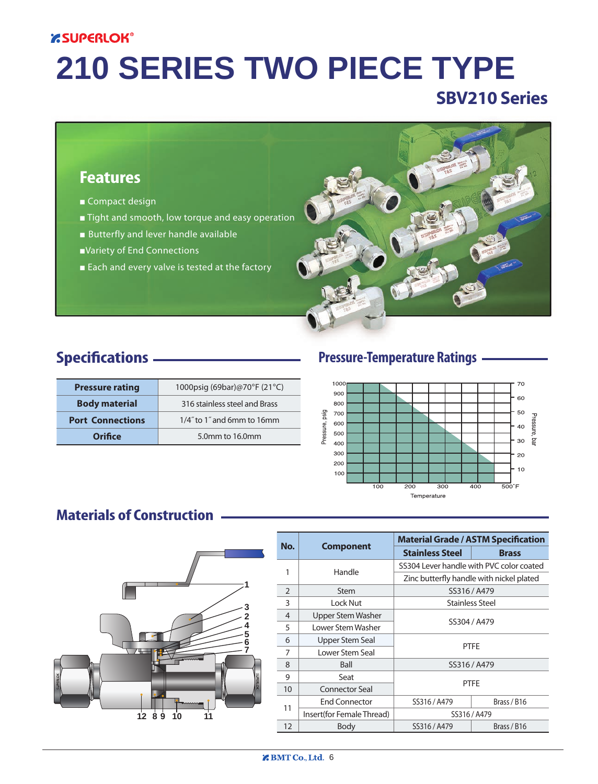#### **ESUPERLOK®**

# **210 SERIES TWO PIECE TYPE**

# **SBV210 Series**

#### **Features**

- Compact design
- *■* Tight and smooth, low torque and easy operation
- Butterfly and lever handle available
- *■*Variety of End Connections
- Each and every valve is tested at the factory



# **Specifications**

| <b>Pressure rating</b>  | 1000psig (69bar)@70°F (21°C)  |
|-------------------------|-------------------------------|
| <b>Body material</b>    | 316 stainless steel and Brass |
| <b>Port Connections</b> | 1/4" to 1" and 6mm to 16mm    |
| Orifice                 | 5.0mm to 16.0mm               |

#### **Pressure-Temperature Ratings**



### **Materials of Construction**



|                |                           |                                          | <b>Material Grade / ASTM Specification</b> |  |  |  |  |
|----------------|---------------------------|------------------------------------------|--------------------------------------------|--|--|--|--|
| No.            | <b>Component</b>          | <b>Stainless Steel</b>                   | <b>Brass</b>                               |  |  |  |  |
| 1              | Handle                    | SS304 Lever handle with PVC color coated |                                            |  |  |  |  |
|                |                           |                                          | Zinc butterfly handle with nickel plated   |  |  |  |  |
| $\overline{2}$ | Stem                      | SS316 / A479                             |                                            |  |  |  |  |
| 3              | Lock Nut                  | <b>Stainless Steel</b>                   |                                            |  |  |  |  |
| 4              | <b>Upper Stem Washer</b>  |                                          |                                            |  |  |  |  |
| 5              | Lower Stem Washer         | SS304 / A479                             |                                            |  |  |  |  |
| 6              | <b>Upper Stem Seal</b>    |                                          |                                            |  |  |  |  |
| 7              | Lower Stem Seal           |                                          | <b>PTFE</b>                                |  |  |  |  |
| 8              | Ball                      |                                          | SS316 / A479                               |  |  |  |  |
| 9              | Seat                      |                                          |                                            |  |  |  |  |
| 10             | Connector Seal            |                                          | <b>PTFE</b>                                |  |  |  |  |
|                | <b>End Connector</b>      | SS316 / A479                             | Brass / B16                                |  |  |  |  |
| 11             | Insert(for Female Thread) | SS316 / A479                             |                                            |  |  |  |  |
| 12             | Body                      | SS316 / A479                             | Brass / B16                                |  |  |  |  |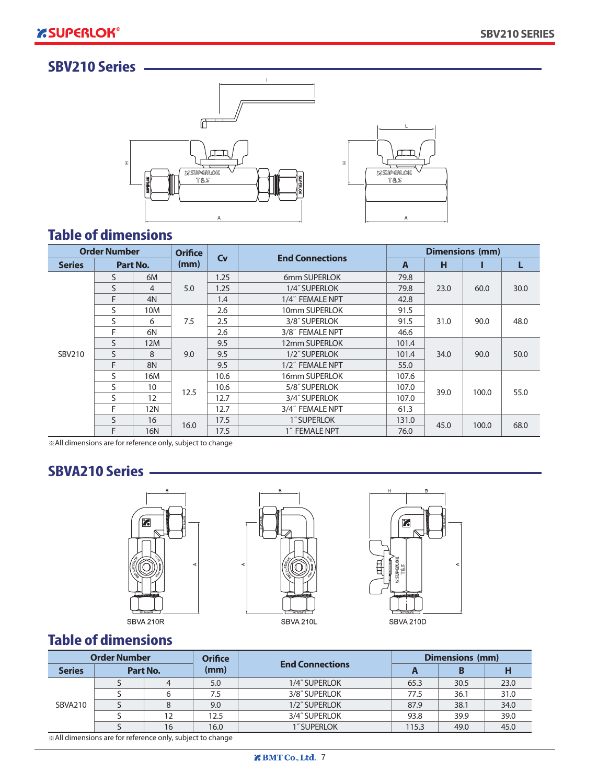# **2210 Series**



# **Table of dimensions**

|               | <b>Order Number</b> |            | <b>Orifice</b> | Cv   | <b>End Connections</b> |               |      | <b>Dimensions (mm)</b> |      |
|---------------|---------------------|------------|----------------|------|------------------------|---------------|------|------------------------|------|
| <b>Series</b> |                     | Part No.   | (mm)           |      |                        |               | н    |                        | L    |
|               | S.                  | 6M         |                | 1.25 | 6mm SUPERLOK           | 79.8          |      |                        |      |
|               | S                   | 4          | 5.0            | 1.25 | 1/4" SUPERLOK          | 79.8          | 23.0 | 60.0                   | 30.0 |
|               | F                   | 4N         |                | 1.4  | 1/4" FEMALE NPT        | 42.8          |      |                        |      |
|               | S                   | 10M        |                | 2.6  | 10mm SUPERLOK          | 91.5          |      |                        | 48.0 |
|               | S                   | 6          | 7.5            | 2.5  | 3/8" SUPERLOK          | 91.5          | 31.0 | 90.0                   |      |
|               | F                   | 6N         |                | 2.6  | 3/8" FEMALE NPT        | 46.6          |      |                        |      |
|               | S                   | 12M        |                | 9.5  | 12mm SUPERLOK          | 101.4         |      | 90.0                   | 50.0 |
| SBV210        | S                   | 8          | 9.0            | 9.5  | 1/2" SUPERLOK          | 101.4         | 34.0 |                        |      |
|               | F                   | 8N         |                | 9.5  | 1/2" FEMALE NPT        | 55.0          |      |                        |      |
|               | S                   | 16M        |                | 10.6 | 16mm SUPERLOK          | 107.6         |      |                        |      |
|               | S                   | 10         | 12.5           | 10.6 | 5/8" SUPERLOK          | 107.0         | 39.0 | 100.0                  | 55.0 |
|               | S                   | 12         |                | 12.7 | 3/4" SUPERLOK          | 107.0         |      |                        |      |
|               | F                   | 12N        |                | 12.7 | 3/4" FEMALE NPT        | 61.3          |      |                        |      |
|               | S                   | 16         | 16.0           | 17.5 | 1" SUPERLOK            | 131.0<br>45.0 |      |                        |      |
|               | F                   | <b>16N</b> |                | 17.5 | 1" FEMALE NPT          | 76.0          |      | 100.0                  | 68.0 |

※All dimensions are for reference only, subject to change

### **SBVA210 Series**





SBVA 210L



**25 SUPERLOK** 

T&S

 $\overline{A}$ 

# **Table of dimensions**

|                | <b>Order Number</b> |          | <b>Orifice</b> |                        | Dimensions (mm) |      |      |
|----------------|---------------------|----------|----------------|------------------------|-----------------|------|------|
| <b>Series</b>  |                     | Part No. | (mm)           | <b>End Connections</b> | A               |      |      |
|                |                     | 4        | 5.0            | 1/4" SUPERLOK          | 65.3            | 30.5 | 23.0 |
|                |                     | 6        | 7.5            | 3/8" SUPERLOK          | 77.5            | 36.1 | 31.0 |
| <b>SBVA210</b> |                     | 8        | 9.0            | 1/2" SUPERLOK          | 87.9            | 38.1 | 34.0 |
|                |                     | 12       | 12.5           | 3/4" SUPERLOK          | 93.8            | 39.9 | 39.0 |
|                |                     | 16       | 16.0           | 1" SUPERLOK            | 115.3           | 49.0 | 45.0 |

※All dimensions are for reference only, subject to change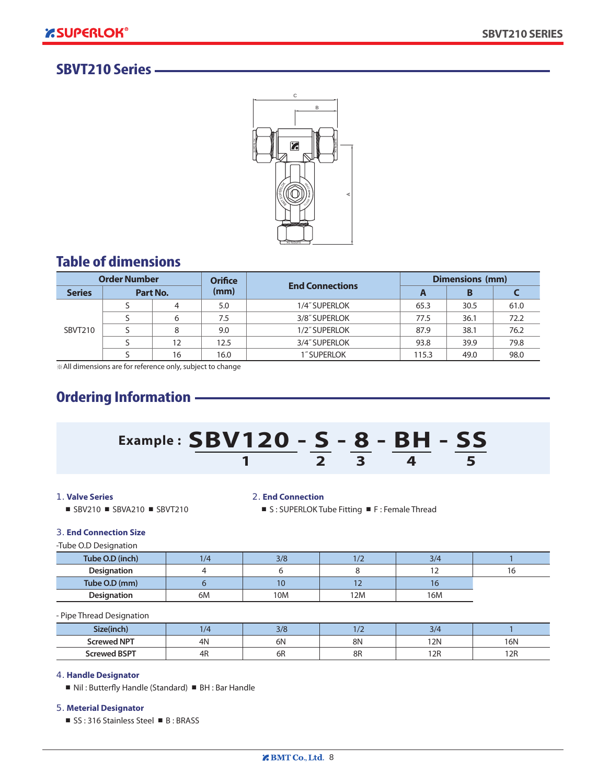#### **SBVT210 Series**



### **Table of dimensions**

| <b>Order Number</b> |   | <b>Orifice</b><br><b>End Connections</b> |               | Dimensions (mm) |       |      |      |
|---------------------|---|------------------------------------------|---------------|-----------------|-------|------|------|
| <b>Series</b>       |   | Part No.                                 | (mm)          |                 | A     | в    |      |
|                     | 4 | 5.0                                      | 1/4" SUPERLOK | 65.3            | 30.5  | 61.0 |      |
|                     |   | 6                                        | 7.5           | 3/8" SUPERLOK   | 77.5  | 36.1 | 72.2 |
| SBVT210             |   | 8                                        | 9.0           | 1/2" SUPERLOK   | 87.9  | 38.1 | 76.2 |
|                     |   | 12                                       | 12.5          | 3/4" SUPERLOK   | 93.8  | 39.9 | 79.8 |
|                     |   | 16                                       | 16.0          | 1" SUPERLOK     | 115.3 | 49.0 | 98.0 |

※All dimensions are for reference only, subject to change

# **Ordering Information**



#### *1.* **Valve Series**

■ SBV210 ■ SBVA210 ■ SBVT210

#### *2.* **End Connection**

■ S : SUPERLOK Tube Fitting ■ F : Female Thread

#### *3.* **End Connection Size**

-Tube O.D Designation

| Tube O.D (inch)    | 1/4 | 3/8 | ╹╯  | 3/4 |  |
|--------------------|-----|-----|-----|-----|--|
| <b>Designation</b> |     |     |     |     |  |
| Tube O.D (mm)      |     | 10  |     |     |  |
| <b>Designation</b> | 6M  | 10M | 12M | 16M |  |

- Pipe Thread Designation

| Size(inch           | $\sqrt{2}$ | 2/C<br>37 C |    |     |     |
|---------------------|------------|-------------|----|-----|-----|
| <b>Screwed NPT</b>  | 4N         | 6N          | 8N | 12N | 16N |
| <b>Screwed BSPT</b> | 4R         | 6R          | 8R | 12R | 12R |

#### *4.* **Handle Designator**

■ Nil : Butterfly Handle (Standard) ■ BH : Bar Handle

#### *5.* **Meterial Designator**

■ SS : 316 Stainless Steel ■ B : BRASS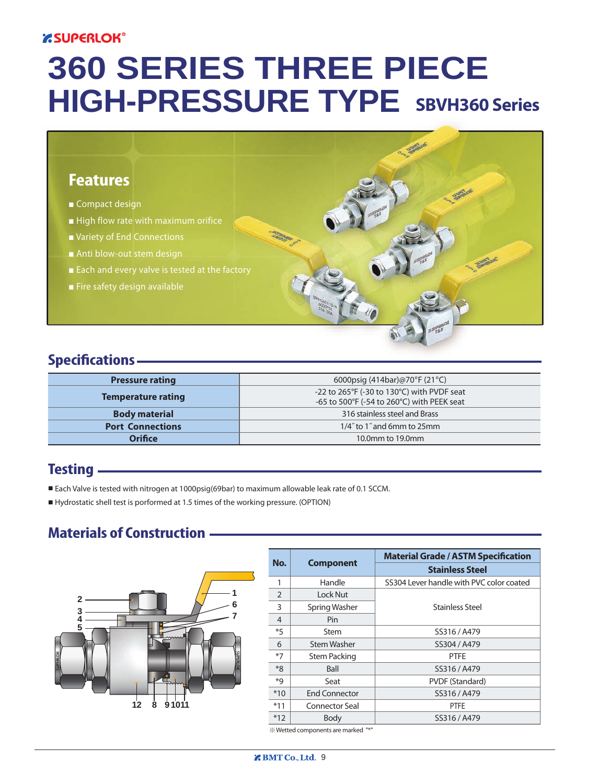### **ESUPERLOK®**

# **360 SERIES THREE PIECE HIGH-PRESSURE TYPE SBVH360 Series**

## **Features**

- *■* Compact design
- High flow rate with maximum orifice
- *■* Variety of End Connections
- Anti blow-out stem design
- Each and every valve is tested at the factory
- *■* Fire safety design available

### **Specifications**

| <b>Pressure rating</b>    | 6000psig $(414bar)@70^{\circ}F(21^{\circ}C)$                                             |  |  |
|---------------------------|------------------------------------------------------------------------------------------|--|--|
| <b>Temperature rating</b> | -22 to 265°F (-30 to 130°C) with PVDF seat<br>-65 to 500°F (-54 to 260°C) with PEEK seat |  |  |
| <b>Body material</b>      | 316 stainless steel and Brass                                                            |  |  |
| <b>Port Connections</b>   | 1/4" to 1" and 6mm to 25mm                                                               |  |  |
| <b>Orifice</b>            | 10.0mm to 19.0mm                                                                         |  |  |

#### **Testing**

- Each Valve is tested with nitrogen at 1000psig(69bar) to maximum allowable leak rate of 0.1 SCCM.
- Hydrostatic shell test is porformed at 1.5 times of the working pressure. (OPTION)

#### **Materials of Construction**



| No.           |                       | <b>Material Grade / ASTM Specification</b> |
|---------------|-----------------------|--------------------------------------------|
|               | <b>Component</b>      | <b>Stainless Steel</b>                     |
|               | Handle                | SS304 Lever handle with PVC color coated   |
| $\mathcal{P}$ | Lock Nut              |                                            |
| 3             | Spring Washer         | <b>Stainless Steel</b>                     |
| 4             | Pin                   |                                            |
| $*5$          | Stem                  | SS316 / A479                               |
| 6             | <b>Stem Washer</b>    | SS304 / A479                               |
| $*7$          | <b>Stem Packing</b>   | <b>PTFE</b>                                |
| $*8$          | <b>Ball</b>           | SS316 / A479                               |
| *q            | Seat                  | PVDF (Standard)                            |
| $*10$         | <b>End Connector</b>  | SS316 / A479                               |
| $*11$         | <b>Connector Seal</b> | <b>PTFE</b>                                |
| $*12$         | Body                  | SS316 / A479                               |

**SANCHORN** 

※Wetted components are marked "\*"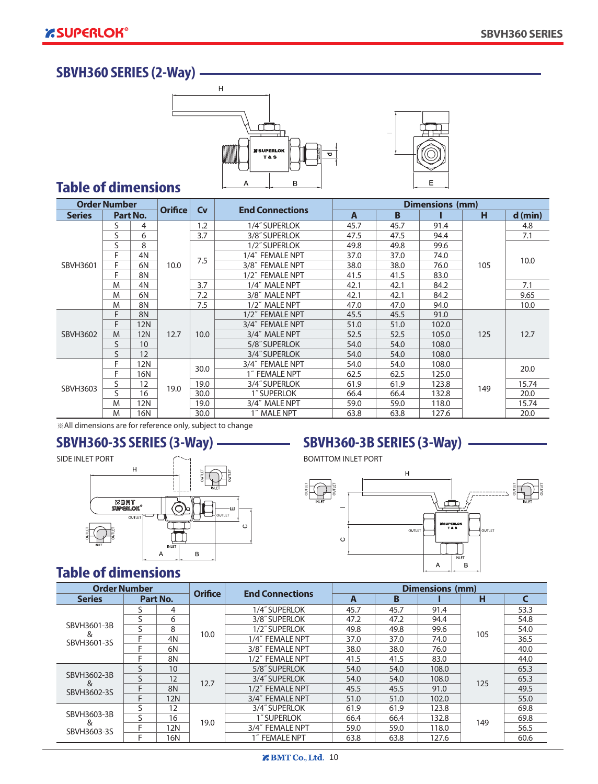#### **SBVH360 SERIES (2-Way)**





#### **Table of dimensions**

| <b>Order Number</b> |              |                 |                |           |                        |                |      | Dimensions (mm) |     |           |
|---------------------|--------------|-----------------|----------------|-----------|------------------------|----------------|------|-----------------|-----|-----------|
| <b>Series</b>       |              | Part No.        | <b>Orifice</b> | <b>Cv</b> | <b>End Connections</b> | $\overline{A}$ | B    |                 | н   | $d$ (min) |
|                     | S            | 4               |                | 1.2       | 1/4" SUPERLOK          | 45.7           | 45.7 | 91.4            |     | 4.8       |
|                     | S            | 6               |                | 3.7       | 3/8" SUPERLOK          | 47.5           | 47.5 | 94.4            |     | 7.1       |
|                     | S            | 8               |                |           | 1/2" SUPERLOK          | 49.8           | 49.8 | 99.6            |     |           |
|                     | F            | 4N              |                | 7.5       | 1/4" FEMALE NPT        | 37.0           | 37.0 | 74.0            |     | 10.0      |
| SBVH3601            | F            | 6N              | 10.0           |           | 3/8" FEMALE NPT        | 38.0           | 38.0 | 76.0            | 105 |           |
|                     | F            | 8N              |                |           | 1/2" FEMALE NPT        | 41.5           | 41.5 | 83.0            |     |           |
|                     | M            | 4N              |                | 3.7       | 1/4" MALE NPT          | 42.1           | 42.1 | 84.2            |     | 7.1       |
|                     | M            | 6N              |                | 7.2       | 3/8" MALE NPT          | 42.1           | 42.1 | 84.2            |     | 9.65      |
|                     | M            | 8N              |                | 7.5       | 1/2" MALE NPT          | 47.0           | 47.0 | 94.0            |     | 10.0      |
|                     | F            | 8N              |                |           | 1/2" FEMALE NPT        | 45.5           | 45.5 | 91.0            |     |           |
|                     | F            | <b>12N</b>      |                |           | 3/4" FEMALE NPT        | 51.0           | 51.0 | 102.0           | 125 | 12.7      |
| SBVH3602            | M            | <b>12N</b>      | 12.7           | 10.0      | 3/4" MALE NPT          | 52.5           | 52.5 | 105.0           |     |           |
|                     | $\mathsf{S}$ | 10 <sup>1</sup> |                |           | 5/8" SUPERLOK          | 54.0           | 54.0 | 108.0           |     |           |
|                     | S            | 12              |                |           | 3/4" SUPERLOK          | 54.0           | 54.0 | 108.0           |     |           |
|                     | F            | <b>12N</b>      |                | 30.0      | 3/4" FEMALE NPT        | 54.0           | 54.0 | 108.0           |     | 20.0      |
|                     | F            | 16N             |                |           | 1" FEMALE NPT          | 62.5           | 62.5 | 125.0           |     |           |
| SBVH3603            | S            | 12              | 19.0           | 19.0      | 3/4" SUPERLOK          | 61.9           | 61.9 | 123.8           | 149 | 15.74     |
|                     | $\mathsf S$  | 16              |                | 30.0      | 1" SUPERLOK            | 66.4           | 66.4 | 132.8           |     | 20.0      |
|                     | M            | 12N             |                | 19.0      | 3/4" MALE NPT          | 59.0           | 59.0 | 118.0           |     | 15.74     |
|                     | M            | 16N             |                | 30.0      | 1" MALE NPT            | 63.8           | 63.8 | 127.6           |     | 20.0      |

※All dimensions are for reference only, subject to change



# **SBVH360-3S SERIES (3-Way) SBVH360-3B SERIES (3-Way)**



## **Table of dimensions**

| <b>Order Number</b> |   |            |                | <b>End Connections</b> | <b>Dimensions (mm)</b> |      |       |     |      |
|---------------------|---|------------|----------------|------------------------|------------------------|------|-------|-----|------|
| <b>Series</b>       |   | Part No.   | <b>Orifice</b> |                        | A                      | B    |       | н   |      |
|                     |   | 4          |                | 1/4" SUPERLOK          | 45.7                   | 45.7 | 91.4  |     | 53.3 |
|                     |   | 6          |                | 3/8" SUPERLOK          | 47.2                   | 47.2 | 94.4  |     | 54.8 |
| SBVH3601-3B<br>&    |   | 8          | 10.0           | 1/2" SUPERLOK          | 49.8                   | 49.8 | 99.6  | 105 | 54.0 |
| SBVH3601-3S         |   | 4N         |                | 1/4" FEMALE NPT        | 37.0                   | 37.0 | 74.0  |     | 36.5 |
|                     |   | 6N         |                | 3/8" FEMALE NPT        | 38.0                   | 38.0 | 76.0  |     | 40.0 |
|                     |   | 8N         |                | 1/2" FEMALE NPT        | 41.5                   | 41.5 | 83.0  |     | 44.0 |
|                     |   | 10         |                | 5/8" SUPERLOK          | 54.0                   | 54.0 | 108.0 | 125 | 65.3 |
| SBVH3602-3B<br>&    | ς | 12         | 12.7           | 3/4" SUPERLOK          | 54.0                   | 54.0 | 108.0 |     | 65.3 |
| SBVH3602-3S         |   | 8N         |                | 1/2" FEMALE NPT        | 45.5                   | 45.5 | 91.0  |     | 49.5 |
|                     | F | <b>12N</b> |                | 3/4" FEMALE NPT        | 51.0                   | 51.0 | 102.0 |     | 55.0 |
|                     |   | 12         |                | 3/4" SUPERLOK          | 61.9                   | 61.9 | 123.8 |     | 69.8 |
| SBVH3603-3B         | S | 16         | 19.0           | 1" SUPERLOK            | 66.4                   | 66.4 | 132.8 | 149 | 69.8 |
| &<br>SBVH3603-3S    |   | 12N        |                | 3/4" FEMALE NPT        | 59.0                   | 59.0 | 118.0 |     | 56.5 |
|                     |   | 16N        |                | 1″ FEMALE NPT          | 63.8                   | 63.8 | 127.6 |     | 60.6 |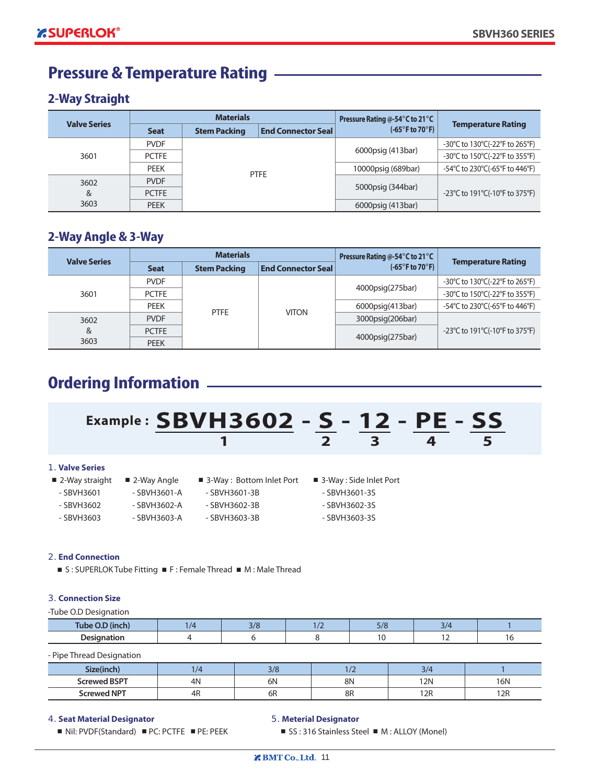# **Pressure & Temperature Rating**

#### **2-Way Straight**

| <b>Valve Series</b> |              | <b>Materials</b>    |                           | Pressure Rating @-54°C to 21°C       |                                    |  |
|---------------------|--------------|---------------------|---------------------------|--------------------------------------|------------------------------------|--|
|                     | <b>Seat</b>  | <b>Stem Packing</b> | <b>End Connector Seal</b> | $(-65^{\circ}$ F to 70 $^{\circ}$ F) | <b>Temperature Rating</b>          |  |
|                     | <b>PVDF</b>  |                     |                           | 6000psig (413bar)                    | -30°C to 130°C(-22°F to 265°F)     |  |
| 3601                | <b>PCTFE</b> |                     |                           |                                      | -30°C to 150°C(-22°F to 355°F)     |  |
|                     | <b>PEEK</b>  |                     | <b>PTFE</b>               | 10000psig (689bar)                   | -54°C to 230°C(-65°F to 446°F)     |  |
| 3602                | <b>PVDF</b>  |                     |                           |                                      |                                    |  |
| &                   | <b>PCTFE</b> |                     |                           | 5000psig (344bar)                    | -23 °C to 191 °C(-10 °F to 375 °F) |  |
| 3603                | <b>PEEK</b>  |                     |                           | 6000psig (413bar)                    |                                    |  |

#### **2-Way Angle & 3-Way**

| <b>Valve Series</b> |              | <b>Materials</b>    |                           | Pressure Rating @-54°C to 21°C       |                                    |  |
|---------------------|--------------|---------------------|---------------------------|--------------------------------------|------------------------------------|--|
|                     | <b>Seat</b>  | <b>Stem Packing</b> | <b>End Connector Seal</b> | $(-65^{\circ}$ F to 70 $^{\circ}$ F) | <b>Temperature Rating</b>          |  |
|                     | <b>PVDF</b>  |                     |                           | 4000psig(275bar)                     | -30°C to 130°C(-22°F to 265°F)     |  |
| 3601                | <b>PCTFE</b> | <b>PTFE</b>         |                           |                                      | -30°C to 150°C(-22°F to 355°F)     |  |
|                     | <b>PEEK</b>  |                     |                           | 6000psig(413bar)                     | -54°C to 230°C(-65°F to 446°F)     |  |
| 3602                | <b>PVDF</b>  |                     | <b>VITON</b>              | 3000psig(206bar)                     |                                    |  |
| &                   | <b>PCTFE</b> |                     |                           |                                      | -23 °C to 191 °C(-10 °F to 375 °F) |  |
| 3603                | <b>PEEK</b>  |                     |                           | 4000psig(275bar)                     |                                    |  |

# **Ordering Information**

# **Example : SBVH3602 - S - 12 - PE - SS**  $\frac{1}{2}$   $\frac{1}{3}$   $\frac{1}{4}$   $\frac{1}{5}$

#### *1.* **Valve Series**

- -
- 
- SBVH3602 SBVH3602-A SBVH3602-3B SBVH3602-3S
	-
- 
- 
- 
- 2-Way straight 2-Way Angle 3-Way : Bottom Inlet Port 3-Way : Side Inlet Port
- SBVH3601 SBVH3601-A SBVH3601-3B SBVH3601-3S
	-
- SBVH3603 SBVH3603-A SBVH3603-3B SBVH3603-3S

#### *2.* **End Connection**

■ S : SUPERLOK Tube Fitting ■ F : Female Thread ■ M : Male Thread

#### *3.* **Connection Size**

-Tube O.D Designation

| <b>Tube</b><br>.<br>◡ | $\sim$ $\mu$ | $-10$<br>-77 |  |
|-----------------------|--------------|--------------|--|
| nocia.<br>----        |              |              |  |

- Pipe Thread Designation

| Size(inch)          | 1/2 | 3/8 |    | $\mathcal{L}$ |     |
|---------------------|-----|-----|----|---------------|-----|
| <b>Screwed BSPT</b> | 4N  | 6Ν  | 8N | <b>12N</b>    | 16N |
| <b>SCrewed NPT</b>  | 4R  | 6R  | 8R | 12R           | 12R |

#### *4.* **Seat Material Designator**

■ Nil: PVDF(Standard) ■ PC: PCTFE ■ PE: PEEK

#### *5.* **Meterial Designator**

■ SS: 316 Stainless Steel ■ M: ALLOY (Monel)